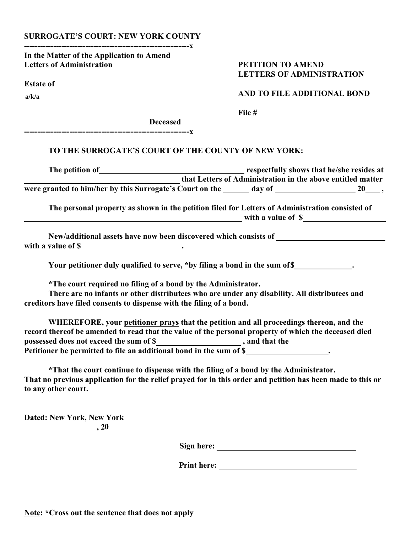## **SURROGATE'S COURT: NEW YORK COUNTY --------------------------------------------------------------x**

**In the Matter of the Application to Amend Letters of Administration PETITION TO AMEND**

**Estate of** 

**a/k/a**

## **LETTERS OF ADMINISTRATION**

 **AND TO FILE ADDITIONAL BOND**

 **File #**

**Deceased**

## **TO THE SURROGATE'S COURT OF THE COUNTY OF NEW YORK:**

**--------------------------------------------------------------x**

| The petition of                                          |        | respectfully shows that he/she resides at                   |  |
|----------------------------------------------------------|--------|-------------------------------------------------------------|--|
|                                                          |        | that Letters of Administration in the above entitled matter |  |
| were granted to him/her by this Surrogate's Court on the | day of | 20                                                          |  |

**The personal property as shown in the petition filed for Letters of Administration consisted of with a value of \$**

 **New/additional assets have now been discovered which consists of with a value of \$** ...

**Your petitioner duly qualified to serve, \*by filing a bond in the sum of \$ .**

**\*The court required no filing of a bond by the Administrator.**

**There are no infants or other distributees who are under any disability. All distributees and creditors have filed consents to dispense with the filing of a bond.**

**WHEREFORE, your petitioner prays that the petition and all proceedings thereon, and the record thereof be amended to read that the value of the personal property of which the deceased died possessed does not exceed the sum of \$ , and that the Petitioner be permitted to file an additional bond in the sum of \$ .**

**\*That the court continue to dispense with the filing of a bond by the Administrator. That no previous application for the relief prayed for in this order and petition has been made to this or to any other court.**

**Dated: New York, New York**  $\,$ , 20

**Sign here:** <u>*Sign here: Sign here: Bign here: Bign here: Bign <b>b*<sub>*Bign decay* **<b>***Bign decay Bign decay Bign decay Bign decay Bign decay* **<b>***Bign decay Bign decay Bign decay </u></sub>* 

**Print here:**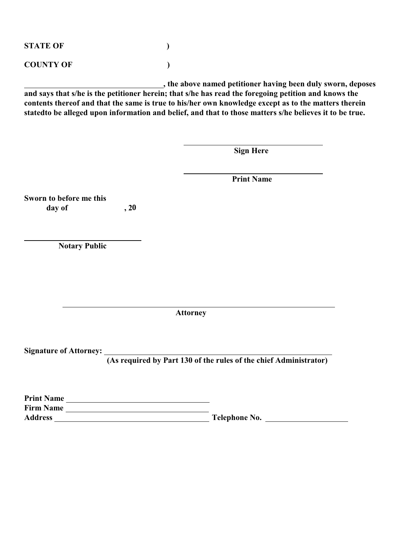**STATE OF ) COUNTY OF )**

**Print Name**

 **, the above named petitioner having been duly sworn, deposes and says that s/he is the petitioner herein; that s/he has read the foregoing petition and knows the contents thereof and that the same is true to his/her own knowledge except as to the matters therein statedto be alleged upon information and belief, and that to those matters s/he believes it to be true.**

 **Sign Here**

 **Print Name Sworn to before me this** day of  **Notary Public Attorney Signature of Attorney: (As required by Part 130 of the rules of the chief Administrator) 0**

| і і пій і чапіс  |               |  |
|------------------|---------------|--|
| <b>Firm Name</b> |               |  |
| <b>Address</b>   | Telephone No. |  |
|                  |               |  |